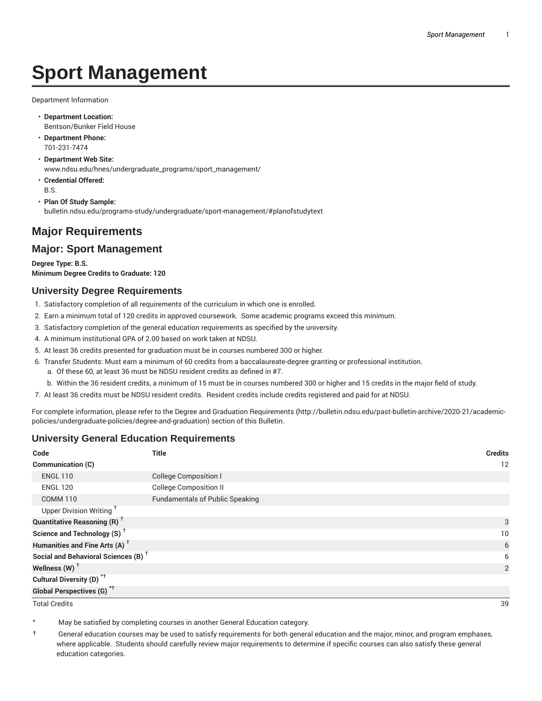# **Sport Management**

Department Information

- **Department Location:** Bentson/Bunker Field House
- **Department Phone:** 701-231-7474
- **Department Web Site:** www.ndsu.edu/hnes/undergraduate\_programs/sport\_management/
- **Credential Offered:** B.S.
- **Plan Of Study Sample:** bulletin.ndsu.edu/programs-study/undergraduate/sport-management/#planofstudytext

## **Major Requirements**

### **Major: Sport Management**

**Degree Type: B.S. Minimum Degree Credits to Graduate: 120**

#### **University Degree Requirements**

- 1. Satisfactory completion of all requirements of the curriculum in which one is enrolled.
- 2. Earn a minimum total of 120 credits in approved coursework. Some academic programs exceed this minimum.
- 3. Satisfactory completion of the general education requirements as specified by the university.
- 4. A minimum institutional GPA of 2.00 based on work taken at NDSU.
- 5. At least 36 credits presented for graduation must be in courses numbered 300 or higher.
- 6. Transfer Students: Must earn a minimum of 60 credits from a baccalaureate-degree granting or professional institution.
	- a. Of these 60, at least 36 must be NDSU resident credits as defined in #7.
	- b. Within the 36 resident credits, a minimum of 15 must be in courses numbered 300 or higher and 15 credits in the major field of study.
- 7. At least 36 credits must be NDSU resident credits. Resident credits include credits registered and paid for at NDSU.

For complete information, please refer to the Degree and Graduation Requirements (http://bulletin.ndsu.edu/past-bulletin-archive/2020-21/academicpolicies/undergraduate-policies/degree-and-graduation) section of this Bulletin.

#### **University General Education Requirements**

| Code                                            | <b>Title</b>                           | <b>Credits</b> |
|-------------------------------------------------|----------------------------------------|----------------|
| Communication (C)                               |                                        | 12             |
| <b>ENGL 110</b>                                 | <b>College Composition I</b>           |                |
| <b>ENGL 120</b>                                 | <b>College Composition II</b>          |                |
| <b>COMM 110</b>                                 | <b>Fundamentals of Public Speaking</b> |                |
| Upper Division Writing <sup>+</sup>             |                                        |                |
| <b>Quantitative Reasoning (R)</b> <sup>†</sup>  |                                        | 3              |
| Science and Technology (S) <sup>+</sup>         |                                        | 10             |
| Humanities and Fine Arts (A) <sup>+</sup>       |                                        | 6              |
| Social and Behavioral Sciences (B) <sup>+</sup> |                                        | 6              |
| Wellness $(W)$ <sup>+</sup>                     |                                        | 2              |
| Cultural Diversity (D) <sup>*†</sup>            |                                        |                |
| <b>Global Perspectives (G)<sup>*†</sup></b>     |                                        |                |

Total Credits 39

May be satisfied by completing courses in another General Education category.

† General education courses may be used to satisfy requirements for both general education and the major, minor, and program emphases, where applicable. Students should carefully review major requirements to determine if specific courses can also satisfy these general education categories.